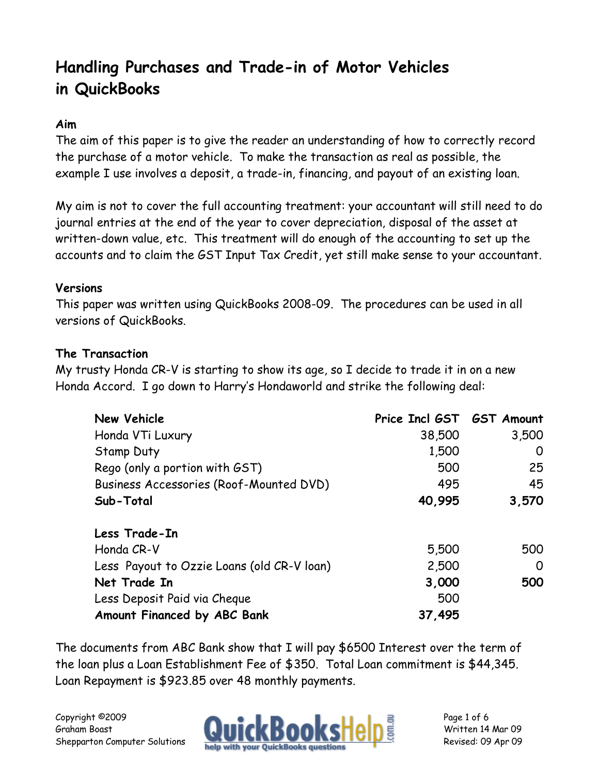# **Handling Purchases and Trade-in of Motor Vehicles in QuickBooks**

# **Aim**

The aim of this paper is to give the reader an understanding of how to correctly record the purchase of a motor vehicle. To make the transaction as real as possible, the example I use involves a deposit, a trade-in, financing, and payout of an existing loan.

My aim is not to cover the full accounting treatment: your accountant will still need to do journal entries at the end of the year to cover depreciation, disposal of the asset at written-down value, etc. This treatment will do enough of the accounting to set up the accounts and to claim the GST Input Tax Credit, yet still make sense to your accountant.

#### **Versions**

This paper was written using QuickBooks 2008-09. The procedures can be used in all versions of QuickBooks.

#### **The Transaction**

My trusty Honda CR-V is starting to show its age, so I decide to trade it in on a new Honda Accord. I go down to Harry's Hondaworld and strike the following deal:

| <b>New Vehicle</b>                         | Price Incl GST GST Amount |       |
|--------------------------------------------|---------------------------|-------|
| Honda VTi Luxury                           | 38,500                    | 3,500 |
| <b>Stamp Duty</b>                          | 1,500                     | O     |
| Rego (only a portion with GST)             | 500                       | 25    |
| Business Accessories (Roof-Mounted DVD)    | 495                       | 45    |
| Sub-Total                                  | 40,995                    | 3,570 |
| Less Trade-In                              |                           |       |
| Honda CR-V                                 | 5,500                     | 500   |
| Less Payout to Ozzie Loans (old CR-V loan) | 2,500                     | 0     |
| Net Trade In                               | 3,000                     | 500   |
| Less Deposit Paid via Cheque               | 500                       |       |
| Amount Financed by ABC Bank                | 37,495                    |       |

The documents from ABC Bank show that I will pay \$6500 Interest over the term of the loan plus a Loan Establishment Fee of \$350. Total Loan commitment is \$44,345. Loan Repayment is \$923.85 over 48 monthly payments.

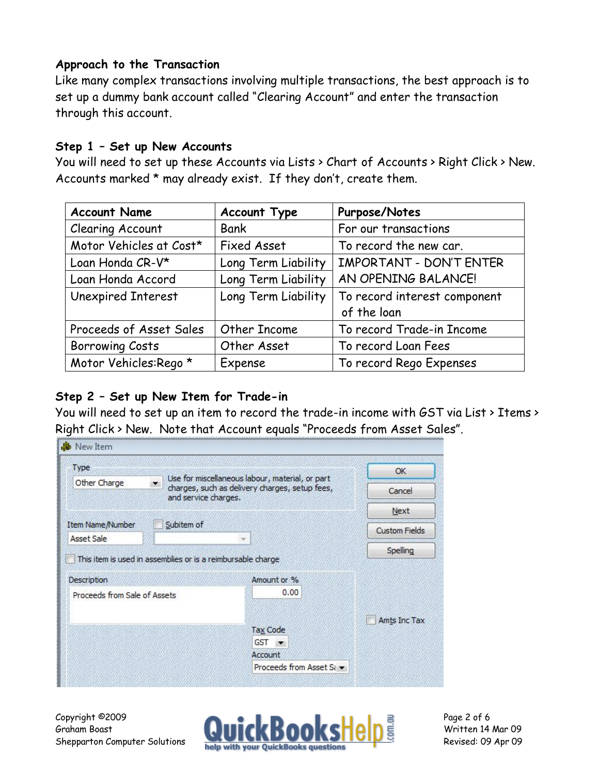#### **Approach to the Transaction**

Like many complex transactions involving multiple transactions, the best approach is to set up a dummy bank account called "Clearing Account" and enter the transaction through this account.

#### **Step 1 – Set up New Accounts**

You will need to set up these Accounts via Lists > Chart of Accounts > Right Click > New. Accounts marked \* may already exist. If they don't, create them.

| <b>Account Name</b>     | <b>Account Type</b> | Purpose/Notes                |
|-------------------------|---------------------|------------------------------|
| Clearing Account        | <b>Bank</b>         | For our transactions         |
| Motor Vehicles at Cost* | <b>Fixed Asset</b>  | To record the new car.       |
| Loan Honda CR-V*        | Long Term Liability | IMPORTANT - DON'T ENTER      |
| Loan Honda Accord       | Long Term Liability | AN OPENING BALANCE!          |
| Unexpired Interest      | Long Term Liability | To record interest component |
|                         |                     | of the loan                  |
| Proceeds of Asset Sales | Other Income        | To record Trade-in Income    |
| <b>Borrowing Costs</b>  | Other Asset         | To record Loan Fees          |
| Motor Vehicles:Rego *   | Expense             | To record Rego Expenses      |

# **Step 2 – Set up New Item for Trade-in**

You will need to set up an item to record the trade-in income with GST via List > Items > Right Click > New. Note that Account equals "Proceeds from Asset Sales".

| Type                         |                                                             | Use for miscellaneous labour, material, or part | OK                   |
|------------------------------|-------------------------------------------------------------|-------------------------------------------------|----------------------|
| Other Charge                 | and service charges.                                        | charges, such as delivery charges, setup fees,  | Cancel               |
|                              |                                                             |                                                 | Next                 |
| Item Name/Number             | Subitem of                                                  |                                                 | <b>Custom Fields</b> |
| Asset Sale                   |                                                             |                                                 |                      |
|                              | This item is used in assemblies or is a reimbursable charge |                                                 | Spelling             |
| <b>Description</b>           |                                                             | Amount or %                                     |                      |
| Proceeds from Sale of Assets |                                                             | 0.00                                            |                      |
|                              |                                                             |                                                 |                      |
|                              |                                                             | Tax Code                                        | Amts Inc Tax         |
|                              |                                                             |                                                 |                      |
|                              |                                                             | <b>GST</b>                                      |                      |
|                              |                                                             | Account                                         |                      |

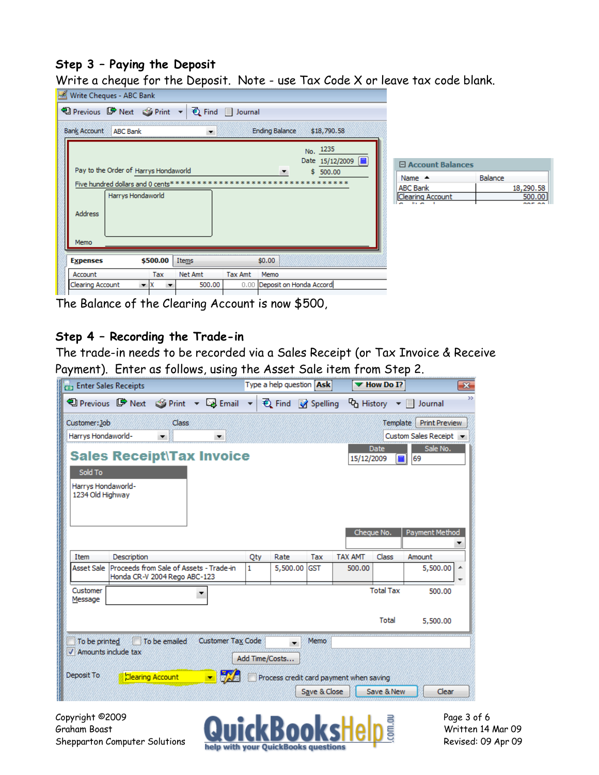#### **Step 3 – Paying the Deposit**

Write a cheque for the Deposit. Note - use Tax Code X or leave tax code blank.

| <b>Bank Account</b>     |                | $\overline{\phantom{a}}$                                         |                                                                            | \$18,790.58                            |                                                                                                                                |                         |
|-------------------------|----------------|------------------------------------------------------------------|----------------------------------------------------------------------------|----------------------------------------|--------------------------------------------------------------------------------------------------------------------------------|-------------------------|
|                         |                |                                                                  |                                                                            | No. 1235<br>Date 15/12/2009   <b>圖</b> | 日 Account Balances                                                                                                             |                         |
|                         |                |                                                                  |                                                                            | ******                                 | Name $-$                                                                                                                       | <b>Balance</b>          |
|                         |                |                                                                  |                                                                            |                                        | <b>ABC Bank</b>                                                                                                                | 18,290.58               |
| <b>Address</b>          |                |                                                                  |                                                                            |                                        | <b>Reduction of the American</b>                                                                                               | 500.00<br>nor oo        |
| Memo                    |                |                                                                  |                                                                            |                                        |                                                                                                                                |                         |
| <b>Expenses</b>         | \$500.00       | Items                                                            |                                                                            |                                        |                                                                                                                                |                         |
| Account                 | Tax            | Net Amt                                                          | <b>Tax Amt</b>                                                             | Memo                                   |                                                                                                                                |                         |
| <b>Clearing Account</b> | $\mathbf{v}$ X | 500.00                                                           |                                                                            |                                        |                                                                                                                                |                         |
|                         |                | Write Cheques - ABC Bank<br><b>ABC Bank</b><br>Harrys Hondaworld | Pay to the Order of Harrys Hondaworld<br>Five hundred dollars and 0 cents* |                                        | 19 Previous ■ Next ③ Print ▼ { { Find } Journal<br><b>Ending Balance</b><br>\$500.00<br>\$0.00<br>0.00 Deposit on Honda Accord | <b>Clearing Account</b> |

The Balance of the Clearing Account is now \$500,

#### **Step 4 – Recording the Trade-in**

The trade-in needs to be recorded via a Sales Receipt (or Tax Invoice & Receive Payment). Enter as follows, using the Asset Sale item from Step 2.



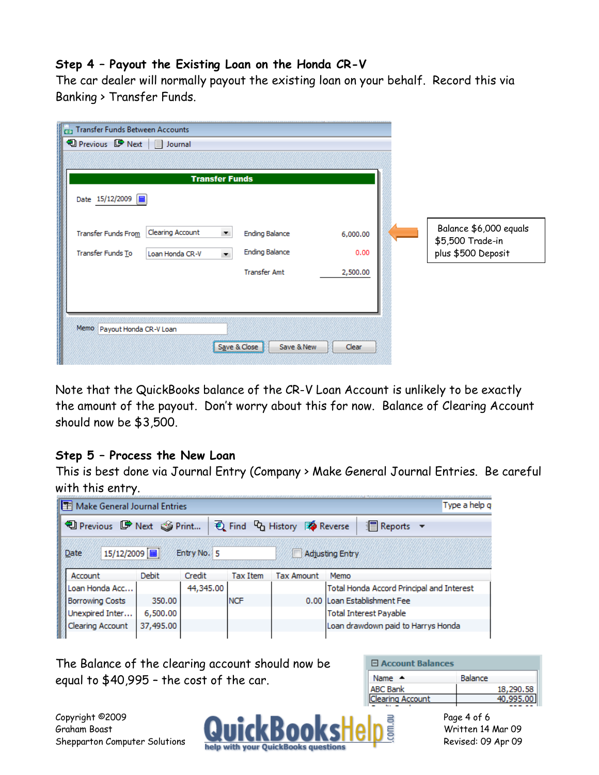#### **Step 4 – Payout the Existing Loan on the Honda CR-V**

The car dealer will normally payout the existing loan on your behalf. Record this via Banking > Transfer Funds.

| Date 15/12/2009   田                                                                           | <b>Transfer Funds</b>                                                  |                  |                                                                  |
|-----------------------------------------------------------------------------------------------|------------------------------------------------------------------------|------------------|------------------------------------------------------------------|
| <b>Clearing Account</b><br><b>Transfer Funds From</b><br>Transfer Funds To<br>Loan Honda CR-V | <b>Ending Balance</b><br>$\blacktriangledown$<br><b>Ending Balance</b> | 6,000.00<br>0.00 | Balance \$6,000 equals<br>\$5,500 Trade-in<br>plus \$500 Deposit |
|                                                                                               | <b>Transfer Amt</b>                                                    | 2,500.00         |                                                                  |
|                                                                                               |                                                                        |                  |                                                                  |

Note that the QuickBooks balance of the CR-V Loan Account is unlikely to be exactly the amount of the payout. Don't worry about this for now. Balance of Clearing Account should now be \$3,500.

#### **Step 5 – Process the New Loan**

This is best done via Journal Entry (Company > Make General Journal Entries. Be careful with this entry.

| Make General Journal Entries    |              |             |                 |                                                       | Type a help q                             |
|---------------------------------|--------------|-------------|-----------------|-------------------------------------------------------|-------------------------------------------|
| <b>D</b> Previous ■ Next Sprint |              |             |                 | <b>E</b> Find <sup>C</sup> o History <b>A</b> Reverse | <b>I</b> Reports ▼                        |
| 15/12/2009<br>Date              |              | Entry No. 5 |                 |                                                       | <b>Adjusting Entry</b>                    |
| Account                         | <b>Debit</b> | Credit      | <b>Tax Item</b> | <b>Tax Amount</b>                                     | Memo                                      |
| Loan Honda Acc                  |              | 44,345.00   |                 |                                                       | Total Honda Accord Principal and Interest |
| <b>Borrowing Costs</b>          | 350.00       |             | <b>NCF</b>      | 0.00                                                  | Loan Establishment Fee                    |
| Unexpired Inter                 | 6,500.00     |             |                 |                                                       | <b>Total Interest Payable</b>             |
| Clearing Account                | 37,495.00    |             |                 |                                                       | Loan drawdown paid to Harrys Honda        |

The Balance of the clearing account should now be equal to \$40,995 – the cost of the car.

| <b>Balance</b> |
|----------------|
| 18,290.58      |
|                |
|                |

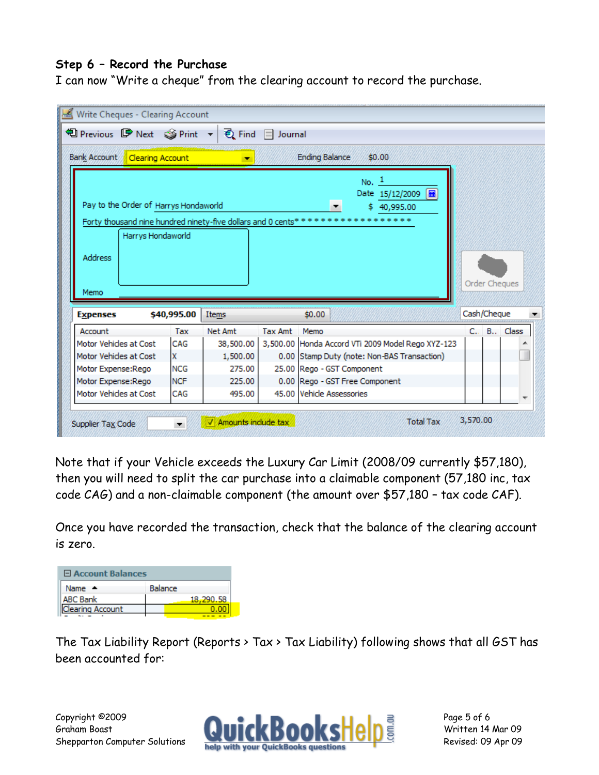## **Step 6 – Record the Purchase**

I can now "Write a cheque" from the clearing account to record the purchase.

|                        | 19 Previous ■ Next ③ Print ▼   { Find     Journal |             |           |         |                                                                                                                                             |               |
|------------------------|---------------------------------------------------|-------------|-----------|---------|---------------------------------------------------------------------------------------------------------------------------------------------|---------------|
|                        | Bank Account Clearing Account                     |             |           |         | <b>Ending Balance</b><br>\$0.00                                                                                                             |               |
|                        | Pay to the Order of Harrys Hondaworld             |             |           |         | $No.$ <sup>1</sup><br>扁<br>Date 15/12/2009<br>\$40,995.00<br>Forty thousand nine hundred ninety-five dollars and 0 cents******************* |               |
|                        | Harrys Hondaworld                                 |             |           |         |                                                                                                                                             |               |
| <b>Address</b><br>Memo |                                                   |             |           |         |                                                                                                                                             | Order Cheques |
| <b>Expenses</b>        |                                                   | \$40,995.00 | Items     |         | \$0.00                                                                                                                                      | Cash/Cheque   |
| Account                |                                                   | Tax         | Net Amt   | Tax Amt | Memo                                                                                                                                        | C., B., Class |
| Motor Vehicles at Cost |                                                   | CAG         | 38,500.00 |         | 3,500.00 Honda Accord VTi 2009 Model Rego XYZ-123                                                                                           |               |
| Motor Vehicles at Cost |                                                   | Ιx          | 1,500.00  |         | 0.00 Stamp Duty (note: Non-BAS Transaction)                                                                                                 |               |
| Motor Expense:Rego     |                                                   | <b>NCG</b>  | 275.00    |         | 25.00 Rego - GST Component                                                                                                                  |               |
| Motor Expense:Rego     |                                                   | <b>NCF</b>  | 225.00    |         | 0.00 Rego - GST Free Component                                                                                                              |               |

Note that if your Vehicle exceeds the Luxury Car Limit (2008/09 currently \$57,180), then you will need to split the car purchase into a claimable component (57,180 inc, tax code CAG) and a non-claimable component (the amount over \$57,180 – tax code CAF).

Once you have recorded the transaction, check that the balance of the clearing account is zero.

| <b>El Account Balances</b> |                |  |
|----------------------------|----------------|--|
| Name $\triangle$           | <b>Balance</b> |  |
| <b>ABC Bank</b>            | 18.290.58      |  |
| Clearing Account           |                |  |
|                            |                |  |

The Tax Liability Report (Reports > Tax > Tax Liability) following shows that all GST has been accounted for: